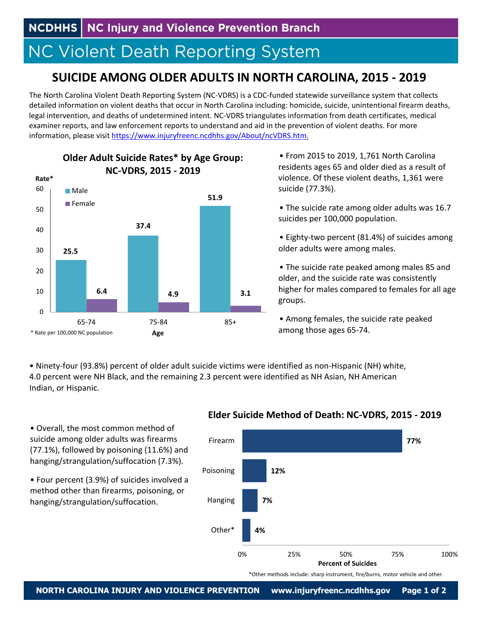**NCDHHS** NC Injury and Violence Prevention Branch

# **NC Violent Death Reporting System**

## **SUICIDE AMONG OLDER ADULTS IN NORTH CAROLINA, 2015 ‐ 2019**

The North Carolina Violent Death Reporting System (NC‐VDRS) is a CDC‐funded statewide surveillance system that collects detailed information on violent deaths that occur in North Carolina including: homicide, suicide, unintentional firearm deaths, legal intervention, and deaths of undetermined intent. NC‐VDRS triangulates information from death certificates, medical examiner reports, and law enforcement reports to understand and aid in the prevention of violent deaths. For more information, please visit https://www.injuryfreenc.ncdhhs.gov/About/ncVDRS.htm.



**Older Adult Suicide Rates\* by Age Group:**

• From 2015 to 2019, 1,761 North Carolina residents ages 65 and older died as a result of violence. Of these violent deaths, 1,361 were suicide (77.3%).

- The suicide rate among older adults was 16.7 suicides per 100,000 population.
- Eighty‐two percent (81.4%) of suicides among older adults were among males.
- The suicide rate peaked among males 85 and older, and the suicide rate was consistently higher for males compared to females for all age groups.

• Among females, the suicide rate peaked among those ages 65‐74.

• Ninety‐four (93.8%) percent of older adult suicide victims were identified as non‐Hispanic (NH) white, 4.0 percent were NH Black, and the remaining 2.3 percent were identified as NH Asian, NH American Indian, or Hispanic.

• Overall, the most common method of suicide among older adults was firearms (77.1%), followed by poisoning (11.6%) and hanging/strangulation/suffocation (7.3%).

• Four percent (3.9%) of suicides involved a method other than firearms, poisoning, or hanging/strangulation/suffocation.

#### **Elder Suicide Method of Death: NC‐VDRS, 2015 ‐ 2019**



\*Other methods include: sharp instrument, fire/burns, motor vehicle and other.